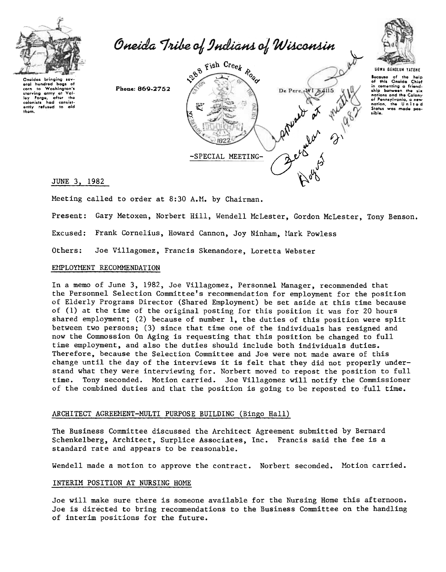

Oneida Tribe of Indians of Wisconsin



UGWA GEHOLUH YATEHE

 $\frac{1}{n}$ 

Bocauso of the help<br>of this Oneida Chie:<br>in comenting a friend ship botwoon the six nations and the Colony of Pennsylvania, a new<br>nation, the United<br>States was made pos-.iblo.

eral hundred bags of<br>corn to Washington's starving army at Val-<br>Ioy Forgo, after the<br>colonists had consist-<br>ontly refused to aid them.

Phone: 869-2752



JUNE 3, 1982

Meeting called to order at 8:30 A.M. by Chairman.

Present: Gary Metoxen, Norbert Hill, Wendell McLester, Gordon McLester, Tony Benson.

Excused: Frank Cornelius, Howard Cannon, Joy Ninham, Mark Powless

Others: Joe Villagomez, Francis Skenandore, Loretta Webster

### EMPLOYMENT RECOMMENDATION

In a memo of June 3, 1982, Joe Villagomez, Personnel Manager, recommended that the Personnel Selection Committee's recommendation for employment for the position of Elderly Programs Director (Shared Employment) be set aside at this time because of (1) at the time of the original posting for this position it was for 20 hours shared employment; (2) because of number 1, the duties of this position were split between two persons; (3) since that time one of the individuals has resigned and now the Commossion On Aging is requesting that this position be changed to full time employment, and also the duties should include both individuals duties. Therefore, because the Selection Committee and Joe were not made aware of this change until the day of the interviews it is felt that they did not properly understand what they were interviewing for. Norbert moved to repost the position to full time. Tony seconded. Motion carried. Joe Villagomez will notify the Commissioner of the combined duties and that the position is going to be reposted to full time.

## ARCHITECT AGREEMENT-MULTI PURPOSE BUILDING (Bingo Hall)

The Business Committee discussed the Architect Agreement submitted by Bernard Schenkelberg, Architect, Surplice Associates, Inc. Francis said the fee is a standard rate and appears to be reasonable.

Wendell made a motion to approve the contract. Norbert seconded. Motion carried.

### INTERIM POSITION AT NURSING HOME

Joe will make sure there is someone available for the Nursing Home this afternoon. Joe is directed to bring recommendations to the Business Committee on the handling of interim positions for the future.